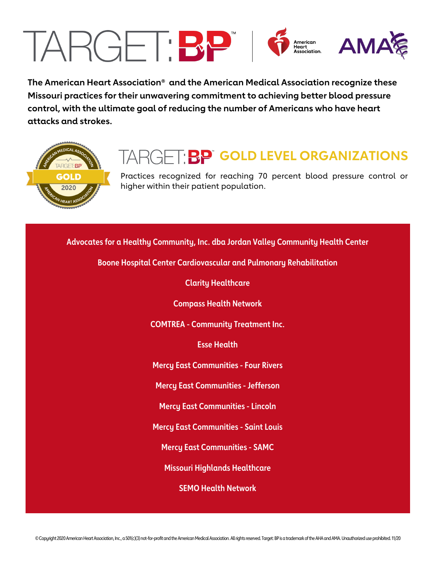# TARGET:BP American<br>Association. **AMA**

**The American Heart Association® and the American Medical Association recognize these Missouri practices for their unwavering commitment to achieving better blood pressure control, with the ultimate goal of reducing the number of Americans who have heart attacks and strokes.**



## **TARGET: BP GOLD LEVEL ORGANIZATIONS**

Practices recognized for reaching 70 percent blood pressure control or higher within their patient population.

**Advocates for a Healthy Community, Inc. dba Jordan Valley Community Health Center**

**Boone Hospital Center Cardiovascular and Pulmonary Rehabilitation**

**Clarity Healthcare**

**Compass Health Network**

**COMTREA - Community Treatment Inc.**

**Esse Health**

**Mercy East Communities - Four Rivers**

**Mercy East Communities - Jefferson**

**Mercy East Communities - Lincoln**

**Mercy East Communities - Saint Louis**

**Mercy East Communities - SAMC**

**Missouri Highlands Healthcare**

**SEMO Health Network**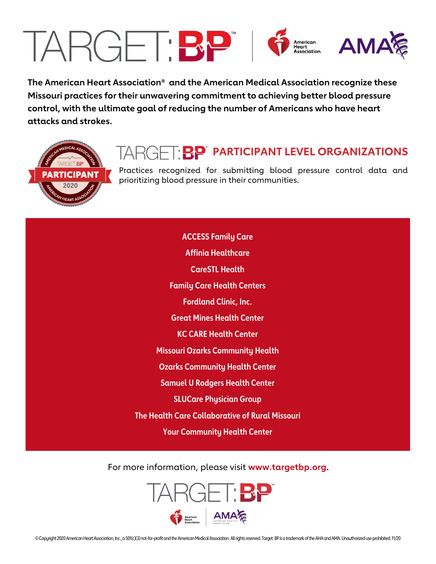## TARGET:BP 6  $\begin{array}{cc}\n\text{American} & \text{AMA} \\
\text{Association.} & \text{AMA} \\
\end{array}$

**The American Heart Association® and the American Medical Association recognize these Missouri practices for their unwavering commitment to achieving better blood pressure control, with the ultimate goal of reducing the number of Americans who have heart attacks and strokes.**



### **TARGET BP** PARTICIPANT LEVEL ORGANIZATIONS

Practices recognized for submitting blood pressure control data and prioritizing blood pressure in their communities.

**ACCESS Family Care Affinia Healthcare CareSTL Health Family Care Health Centers Fordland Clinic, Inc. Great Mines Health Center KC CARE Health Center Missouri Ozarks Community Health Ozarks Community Health Center Samuel U Rodgers Health Center SLUCare Physician Group The Health Care Collaborative of Rural Missouri Your Community Health Center**

For more information, please visit **www.targetbp.org.** 

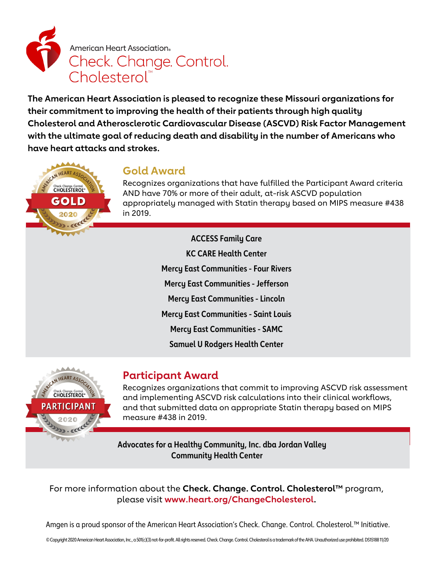

**The American Heart Association is pleased to recognize these Missouri organizations for their commitment to improving the health of their patients through high quality Cholesterol and Atherosclerotic Cardiovascular Disease (ASCVD) Risk Factor Management with the ultimate goal of reducing death and disability in the number of Americans who have heart attacks and strokes.**



#### **Gold Award**

Recognizes organizations that have fulfilled the Participant Award criteria AND have 70% or more of their adult, at-risk ASCVD population appropriately managed with Statin therapy based on MIPS measure #438 in 2019.

> **ACCESS Family Care KC CARE Health Center Mercy East Communities - Four Rivers Mercy East Communities - Jefferson Mercy East Communities - Lincoln Mercy East Communities - Saint Louis Mercy East Communities - SAMC Samuel U Rodgers Health Center**



#### **Participant Award**

Recognizes organizations that commit to improving ASCVD risk assessment and implementing ASCVD risk calculations into their clinical workflows, and that submitted data on appropriate Statin therapy based on MIPS measure #438 in 2019.

**Advocates for a Healthy Community, Inc. dba Jordan Valley Community Health Center**

For more information about the **Check. Change. Control. Cholesterol™** program, please visit **www.heart.org/ChangeCholesterol.** 

Amgen is a proud sponsor of the American Heart Association's Check. Change. Control. Cholesterol.™ Initiative.

© Copyright 2020 American Heart Association, Inc., a 501(c)(3) not-for-profit. All rights reserved. Check. Change. Control. Cholesterol is a trademark of the AHA. Unauthorized use prohibited. DS15188 11/20